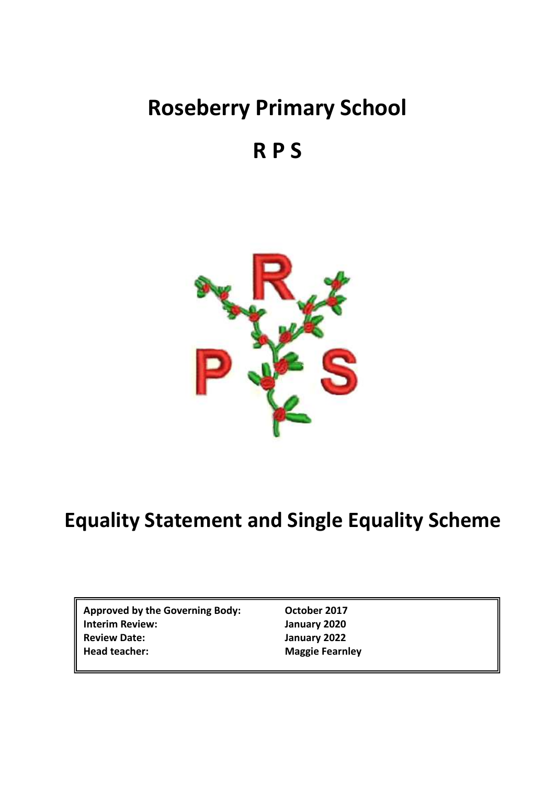# **Roseberry Primary School**

## **R P S**



## **Equality Statement and Single Equality Scheme**

**Approved by the Governing Body: October 2017 Interim Review: January 2020 Review Date: January 2022 Head teacher: Maggie Fearnley**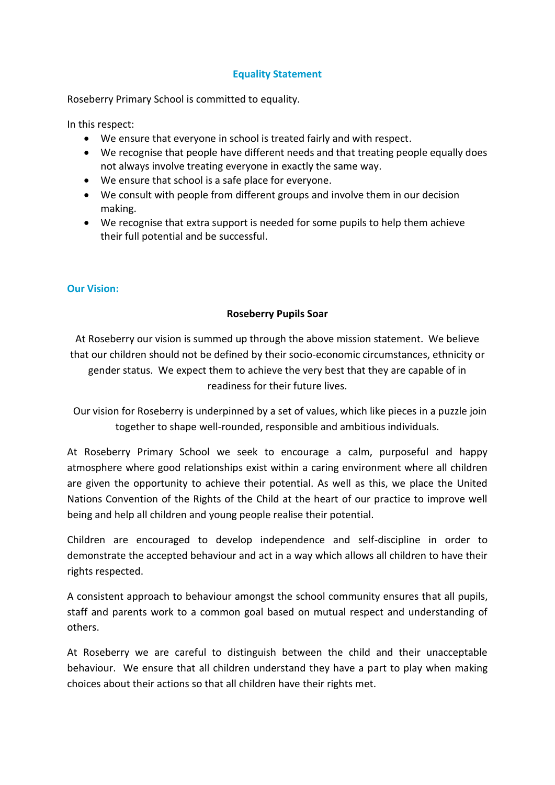## **Equality Statement**

Roseberry Primary School is committed to equality.

In this respect:

- We ensure that everyone in school is treated fairly and with respect.
- We recognise that people have different needs and that treating people equally does not always involve treating everyone in exactly the same way.
- We ensure that school is a safe place for everyone.
- We consult with people from different groups and involve them in our decision making.
- We recognise that extra support is needed for some pupils to help them achieve their full potential and be successful.

## **Our Vision:**

## **Roseberry Pupils Soar**

At Roseberry our vision is summed up through the above mission statement. We believe that our children should not be defined by their socio-economic circumstances, ethnicity or gender status. We expect them to achieve the very best that they are capable of in readiness for their future lives.

 Our vision for Roseberry is underpinned by a set of values, which like pieces in a puzzle join together to shape well-rounded, responsible and ambitious individuals.

At Roseberry Primary School we seek to encourage a calm, purposeful and happy atmosphere where good relationships exist within a caring environment where all children are given the opportunity to achieve their potential. As well as this, we place the United Nations Convention of the Rights of the Child at the heart of our practice to improve well being and help all children and young people realise their potential.

Children are encouraged to develop independence and self-discipline in order to demonstrate the accepted behaviour and act in a way which allows all children to have their rights respected.

A consistent approach to behaviour amongst the school community ensures that all pupils, staff and parents work to a common goal based on mutual respect and understanding of others.

At Roseberry we are careful to distinguish between the child and their unacceptable behaviour. We ensure that all children understand they have a part to play when making choices about their actions so that all children have their rights met.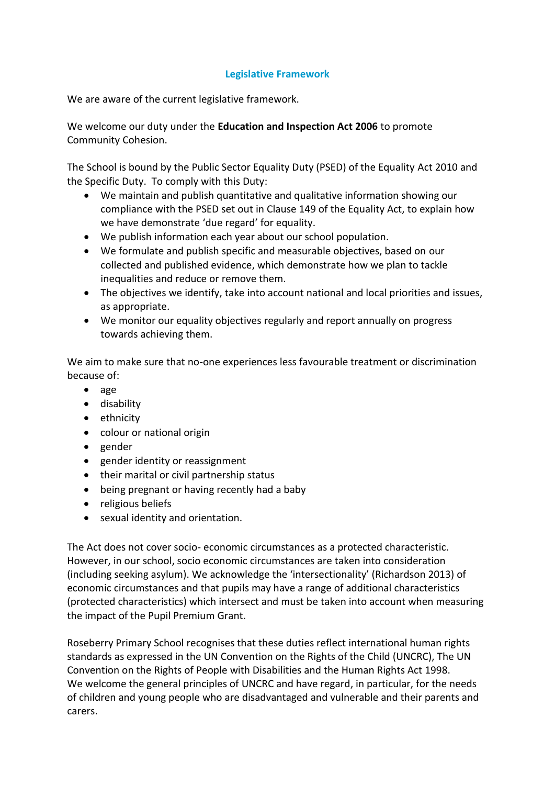## **Legislative Framework**

We are aware of the current legislative framework.

We welcome our duty under the **Education and Inspection Act 2006** to promote Community Cohesion.

The School is bound by the Public Sector Equality Duty (PSED) of the Equality Act 2010 and the Specific Duty. To comply with this Duty:

- We maintain and publish quantitative and qualitative information showing our compliance with the PSED set out in Clause 149 of the Equality Act, to explain how we have demonstrate 'due regard' for equality.
- We publish information each year about our school population.
- We formulate and publish specific and measurable objectives, based on our collected and published evidence, which demonstrate how we plan to tackle inequalities and reduce or remove them.
- The objectives we identify, take into account national and local priorities and issues, as appropriate.
- We monitor our equality objectives regularly and report annually on progress towards achieving them.

We aim to make sure that no-one experiences less favourable treatment or discrimination because of:

- age
- disability
- ethnicity
- colour or national origin
- gender
- gender identity or reassignment
- their marital or civil partnership status
- being pregnant or having recently had a baby
- religious beliefs
- sexual identity and orientation.

The Act does not cover socio- economic circumstances as a protected characteristic. However, in our school, socio economic circumstances are taken into consideration (including seeking asylum). We acknowledge the 'intersectionality' (Richardson 2013) of economic circumstances and that pupils may have a range of additional characteristics (protected characteristics) which intersect and must be taken into account when measuring the impact of the Pupil Premium Grant.

Roseberry Primary School recognises that these duties reflect international human rights standards as expressed in the UN Convention on the Rights of the Child (UNCRC), The UN Convention on the Rights of People with Disabilities and the Human Rights Act 1998. We welcome the general principles of UNCRC and have regard, in particular, for the needs of children and young people who are disadvantaged and vulnerable and their parents and carers.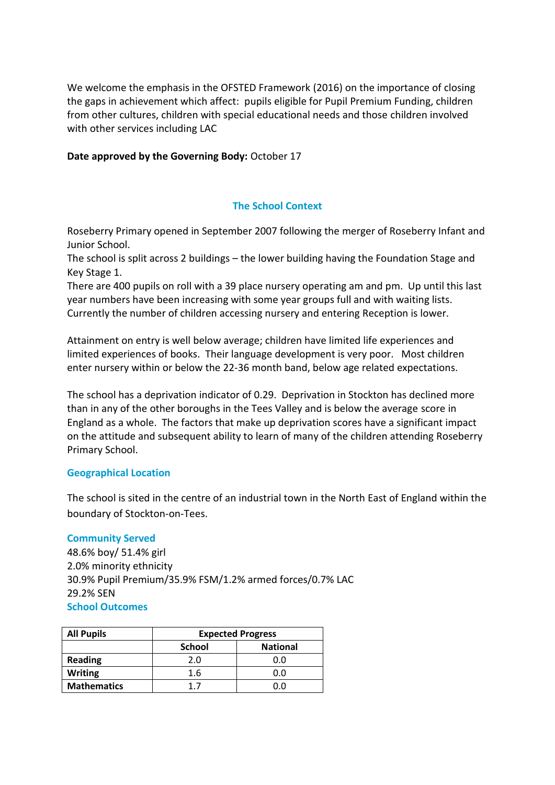We welcome the emphasis in the OFSTED Framework (2016) on the importance of closing the gaps in achievement which affect: pupils eligible for Pupil Premium Funding, children from other cultures, children with special educational needs and those children involved with other services including LAC

#### **Date approved by the Governing Body:** October 17

## **The School Context**

Roseberry Primary opened in September 2007 following the merger of Roseberry Infant and Junior School.

The school is split across 2 buildings – the lower building having the Foundation Stage and Key Stage 1.

There are 400 pupils on roll with a 39 place nursery operating am and pm. Up until this last year numbers have been increasing with some year groups full and with waiting lists. Currently the number of children accessing nursery and entering Reception is lower.

Attainment on entry is well below average; children have limited life experiences and limited experiences of books. Their language development is very poor. Most children enter nursery within or below the 22-36 month band, below age related expectations.

The school has a deprivation indicator of 0.29. Deprivation in Stockton has declined more than in any of the other boroughs in the Tees Valley and is below the average score in England as a whole. The factors that make up deprivation scores have a significant impact on the attitude and subsequent ability to learn of many of the children attending Roseberry Primary School.

#### **Geographical Location**

The school is sited in the centre of an industrial town in the North East of England within the boundary of Stockton-on-Tees.

#### **Community Served**

48.6% boy/ 51.4% girl 2.0% minority ethnicity 30.9% Pupil Premium/35.9% FSM/1.2% armed forces/0.7% LAC 29.2% SEN **School Outcomes**

| <b>All Pupils</b>  | <b>Expected Progress</b> |                 |  |  |
|--------------------|--------------------------|-----------------|--|--|
|                    | <b>School</b>            | <b>National</b> |  |  |
| <b>Reading</b>     | 2.0                      | 0.0             |  |  |
| <b>Writing</b>     | 1.6                      | n n             |  |  |
| <b>Mathematics</b> | 17                       | n n             |  |  |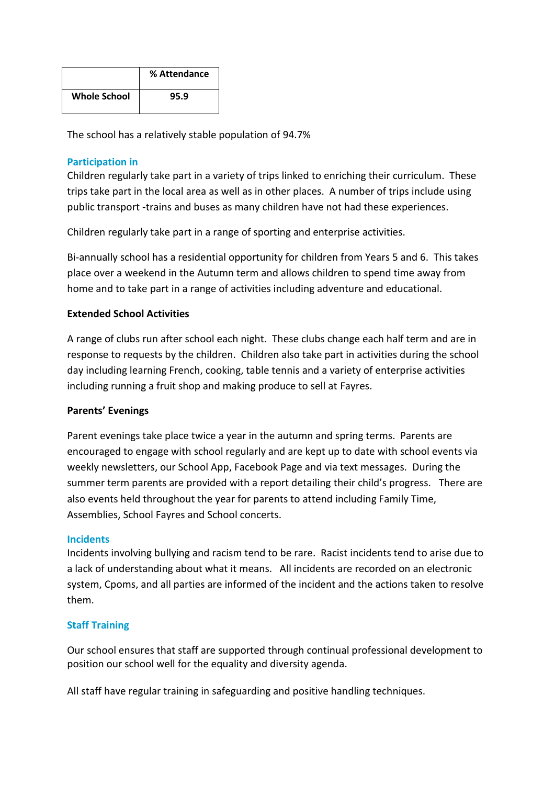|                     | % Attendance |
|---------------------|--------------|
| <b>Whole School</b> | 95.9         |

The school has a relatively stable population of 94.7%

## **Participation in**

Children regularly take part in a variety of trips linked to enriching their curriculum. These trips take part in the local area as well as in other places. A number of trips include using public transport -trains and buses as many children have not had these experiences.

Children regularly take part in a range of sporting and enterprise activities.

Bi-annually school has a residential opportunity for children from Years 5 and 6. This takes place over a weekend in the Autumn term and allows children to spend time away from home and to take part in a range of activities including adventure and educational.

## **Extended School Activities**

A range of clubs run after school each night. These clubs change each half term and are in response to requests by the children. Children also take part in activities during the school day including learning French, cooking, table tennis and a variety of enterprise activities including running a fruit shop and making produce to sell at Fayres.

#### **Parents' Evenings**

Parent evenings take place twice a year in the autumn and spring terms. Parents are encouraged to engage with school regularly and are kept up to date with school events via weekly newsletters, our School App, Facebook Page and via text messages. During the summer term parents are provided with a report detailing their child's progress. There are also events held throughout the year for parents to attend including Family Time, Assemblies, School Fayres and School concerts.

#### **Incidents**

Incidents involving bullying and racism tend to be rare. Racist incidents tend to arise due to a lack of understanding about what it means. All incidents are recorded on an electronic system, Cpoms, and all parties are informed of the incident and the actions taken to resolve them.

#### **Staff Training**

Our school ensures that staff are supported through continual professional development to position our school well for the equality and diversity agenda.

All staff have regular training in safeguarding and positive handling techniques.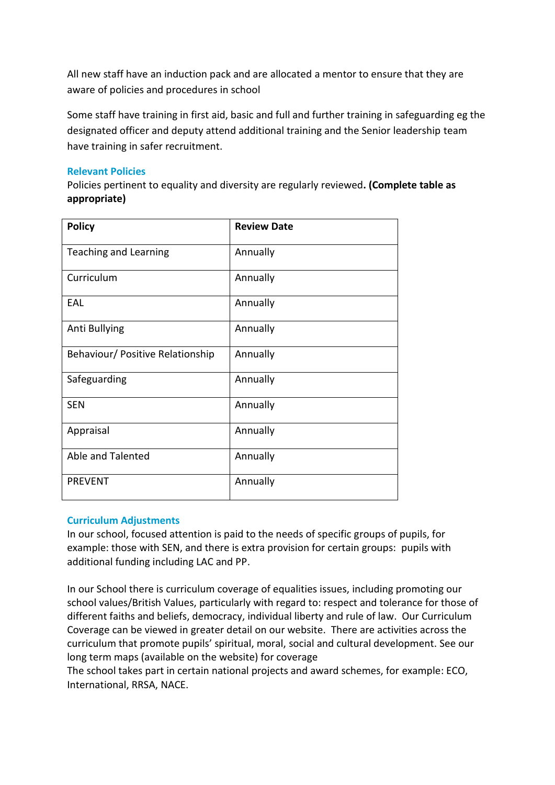All new staff have an induction pack and are allocated a mentor to ensure that they are aware of policies and procedures in school

Some staff have training in first aid, basic and full and further training in safeguarding eg the designated officer and deputy attend additional training and the Senior leadership team have training in safer recruitment.

## **Relevant Policies**

Policies pertinent to equality and diversity are regularly reviewed**. (Complete table as appropriate)**

| <b>Policy</b>                    | <b>Review Date</b> |
|----------------------------------|--------------------|
| <b>Teaching and Learning</b>     | Annually           |
| Curriculum                       | Annually           |
| EAL                              | Annually           |
| Anti Bullying                    | Annually           |
| Behaviour/ Positive Relationship | Annually           |
| Safeguarding                     | Annually           |
| <b>SEN</b>                       | Annually           |
| Appraisal                        | Annually           |
| Able and Talented                | Annually           |
| <b>PREVENT</b>                   | Annually           |

#### **Curriculum Adjustments**

In our school, focused attention is paid to the needs of specific groups of pupils, for example: those with SEN, and there is extra provision for certain groups: pupils with additional funding including LAC and PP.

In our School there is curriculum coverage of equalities issues, including promoting our school values/British Values, particularly with regard to: respect and tolerance for those of different faiths and beliefs, democracy, individual liberty and rule of law. Our Curriculum Coverage can be viewed in greater detail on our website. There are activities across the curriculum that promote pupils' spiritual, moral, social and cultural development. See our long term maps (available on the website) for coverage

The school takes part in certain national projects and award schemes, for example: ECO, International, RRSA, NACE.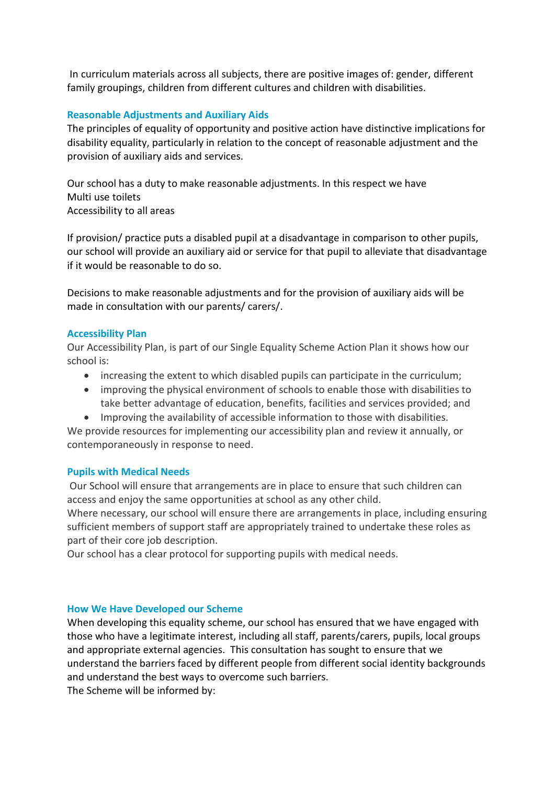In curriculum materials across all subjects, there are positive images of: gender, different family groupings, children from different cultures and children with disabilities.

## **Reasonable Adjustments and Auxiliary Aids**

The principles of equality of opportunity and positive action have distinctive implications for disability equality, particularly in relation to the concept of reasonable adjustment and the provision of auxiliary aids and services.

Our school has a duty to make reasonable adjustments. In this respect we have Multi use toilets Accessibility to all areas

If provision/ practice puts a disabled pupil at a disadvantage in comparison to other pupils, our school will provide an auxiliary aid or service for that pupil to alleviate that disadvantage if it would be reasonable to do so.

Decisions to make reasonable adjustments and for the provision of auxiliary aids will be made in consultation with our parents/ carers/.

#### **Accessibility Plan**

Our Accessibility Plan, is part of our Single Equality Scheme Action Plan it shows how our school is:

- increasing the extent to which disabled pupils can participate in the curriculum;
- improving the physical environment of schools to enable those with disabilities to take better advantage of education, benefits, facilities and services provided; and
- Improving the availability of accessible information to those with disabilities.

We provide resources for implementing our accessibility plan and review it annually, or contemporaneously in response to need.

#### **Pupils with Medical Needs**

Our School will ensure that arrangements are in place to ensure that such children can access and enjoy the same opportunities at school as any other child.

Where necessary, our school will ensure there are arrangements in place, including ensuring sufficient members of support staff are appropriately trained to undertake these roles as part of their core job description.

Our school has a clear protocol for supporting pupils with medical needs.

#### **How We Have Developed our Scheme**

When developing this equality scheme, our school has ensured that we have engaged with those who have a legitimate interest, including all staff, parents/carers, pupils, local groups and appropriate external agencies. This consultation has sought to ensure that we understand the barriers faced by different people from different social identity backgrounds and understand the best ways to overcome such barriers.

The Scheme will be informed by: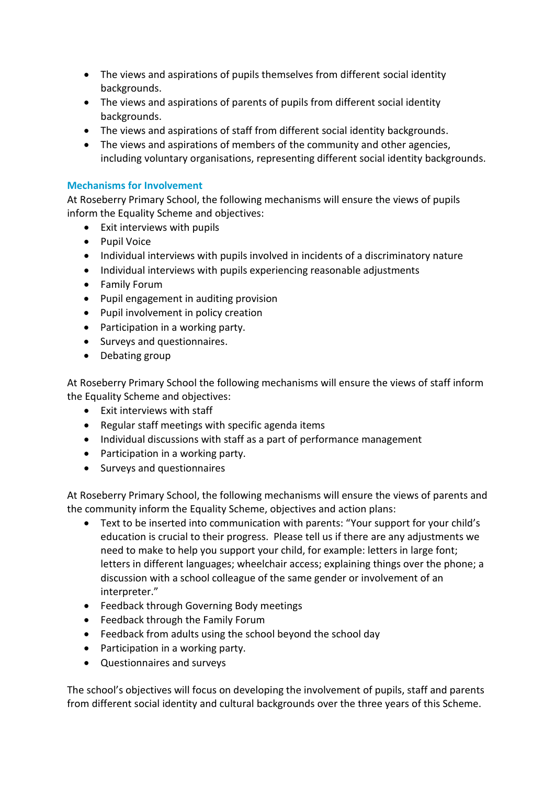- The views and aspirations of pupils themselves from different social identity backgrounds.
- The views and aspirations of parents of pupils from different social identity backgrounds.
- The views and aspirations of staff from different social identity backgrounds.
- The views and aspirations of members of the community and other agencies, including voluntary organisations, representing different social identity backgrounds.

## **Mechanisms for Involvement**

At Roseberry Primary School, the following mechanisms will ensure the views of pupils inform the Equality Scheme and objectives:

- Exit interviews with pupils
- Pupil Voice
- Individual interviews with pupils involved in incidents of a discriminatory nature
- Individual interviews with pupils experiencing reasonable adjustments
- Family Forum
- Pupil engagement in auditing provision
- Pupil involvement in policy creation
- Participation in a working party.
- Surveys and questionnaires.
- Debating group

At Roseberry Primary School the following mechanisms will ensure the views of staff inform the Equality Scheme and objectives:

- Exit interviews with staff
- Regular staff meetings with specific agenda items
- Individual discussions with staff as a part of performance management
- Participation in a working party.
- Surveys and questionnaires

At Roseberry Primary School, the following mechanisms will ensure the views of parents and the community inform the Equality Scheme, objectives and action plans:

- Text to be inserted into communication with parents: "Your support for your child's education is crucial to their progress. Please tell us if there are any adjustments we need to make to help you support your child, for example: letters in large font; letters in different languages; wheelchair access; explaining things over the phone; a discussion with a school colleague of the same gender or involvement of an interpreter."
- Feedback through Governing Body meetings
- Feedback through the Family Forum
- Feedback from adults using the school beyond the school day
- Participation in a working party.
- Questionnaires and surveys

The school's objectives will focus on developing the involvement of pupils, staff and parents from different social identity and cultural backgrounds over the three years of this Scheme.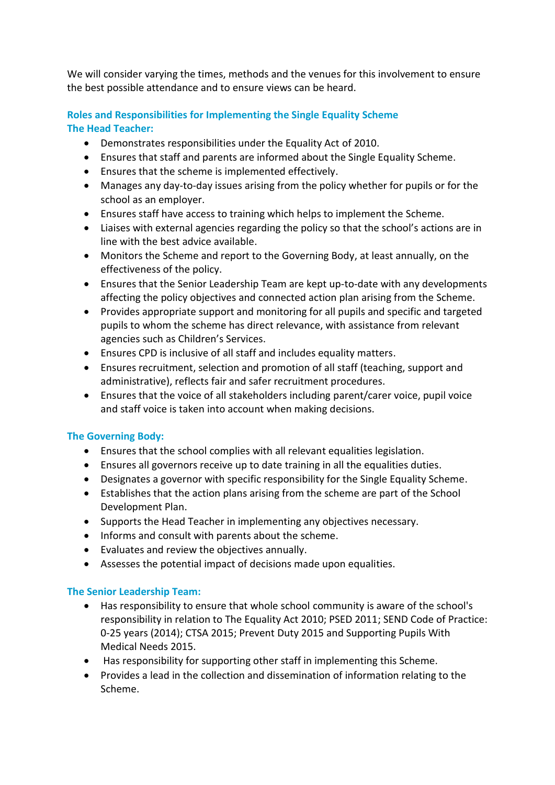We will consider varying the times, methods and the venues for this involvement to ensure the best possible attendance and to ensure views can be heard.

## **Roles and Responsibilities for Implementing the Single Equality Scheme The Head Teacher:**

- Demonstrates responsibilities under the Equality Act of 2010.
- Ensures that staff and parents are informed about the Single Equality Scheme.
- Ensures that the scheme is implemented effectively.
- Manages any day-to-day issues arising from the policy whether for pupils or for the school as an employer.
- Ensures staff have access to training which helps to implement the Scheme.
- Liaises with external agencies regarding the policy so that the school's actions are in line with the best advice available.
- Monitors the Scheme and report to the Governing Body, at least annually, on the effectiveness of the policy.
- Ensures that the Senior Leadership Team are kept up-to-date with any developments affecting the policy objectives and connected action plan arising from the Scheme.
- Provides appropriate support and monitoring for all pupils and specific and targeted pupils to whom the scheme has direct relevance, with assistance from relevant agencies such as Children's Services.
- Ensures CPD is inclusive of all staff and includes equality matters.
- Ensures recruitment, selection and promotion of all staff (teaching, support and administrative), reflects fair and safer recruitment procedures.
- Ensures that the voice of all stakeholders including parent/carer voice, pupil voice and staff voice is taken into account when making decisions.

## **The Governing Body:**

- Ensures that the school complies with all relevant equalities legislation.
- Ensures all governors receive up to date training in all the equalities duties.
- Designates a governor with specific responsibility for the Single Equality Scheme.
- Establishes that the action plans arising from the scheme are part of the School Development Plan.
- Supports the Head Teacher in implementing any objectives necessary.
- Informs and consult with parents about the scheme.
- Evaluates and review the objectives annually.
- Assesses the potential impact of decisions made upon equalities.

## **The Senior Leadership Team:**

- Has responsibility to ensure that whole school community is aware of the school's responsibility in relation to The Equality Act 2010; PSED 2011; SEND Code of Practice: 0-25 years (2014); CTSA 2015; Prevent Duty 2015 and Supporting Pupils With Medical Needs 2015.
- Has responsibility for supporting other staff in implementing this Scheme.
- Provides a lead in the collection and dissemination of information relating to the Scheme.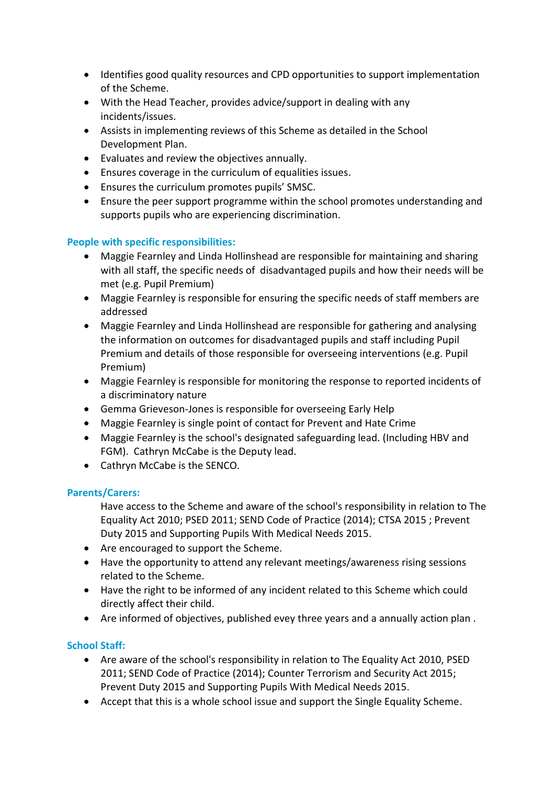- Identifies good quality resources and CPD opportunities to support implementation of the Scheme.
- With the Head Teacher, provides advice/support in dealing with any incidents/issues.
- Assists in implementing reviews of this Scheme as detailed in the School Development Plan.
- Evaluates and review the objectives annually.
- Ensures coverage in the curriculum of equalities issues.
- Ensures the curriculum promotes pupils' SMSC.
- Ensure the peer support programme within the school promotes understanding and supports pupils who are experiencing discrimination.

## **People with specific responsibilities:**

- Maggie Fearnley and Linda Hollinshead are responsible for maintaining and sharing with all staff, the specific needs of disadvantaged pupils and how their needs will be met (e.g. Pupil Premium)
- Maggie Fearnley is responsible for ensuring the specific needs of staff members are addressed
- Maggie Fearnley and Linda Hollinshead are responsible for gathering and analysing the information on outcomes for disadvantaged pupils and staff including Pupil Premium and details of those responsible for overseeing interventions (e.g. Pupil Premium)
- Maggie Fearnley is responsible for monitoring the response to reported incidents of a discriminatory nature
- Gemma Grieveson-Jones is responsible for overseeing Early Help
- Maggie Fearnley is single point of contact for Prevent and Hate Crime
- Maggie Fearnley is the school's designated safeguarding lead. (Including HBV and FGM). Cathryn McCabe is the Deputy lead.
- Cathryn McCabe is the SENCO.

## **Parents/Carers:**

Have access to the Scheme and aware of the school's responsibility in relation to The Equality Act 2010; PSED 2011; SEND Code of Practice (2014); CTSA 2015 ; Prevent Duty 2015 and Supporting Pupils With Medical Needs 2015.

- Are encouraged to support the Scheme.
- Have the opportunity to attend any relevant meetings/awareness rising sessions related to the Scheme.
- Have the right to be informed of any incident related to this Scheme which could directly affect their child.
- Are informed of objectives, published evey three years and a annually action plan .

## **School Staff:**

- Are aware of the school's responsibility in relation to The Equality Act 2010, PSED 2011; SEND Code of Practice (2014); Counter Terrorism and Security Act 2015; Prevent Duty 2015 and Supporting Pupils With Medical Needs 2015.
- Accept that this is a whole school issue and support the Single Equality Scheme.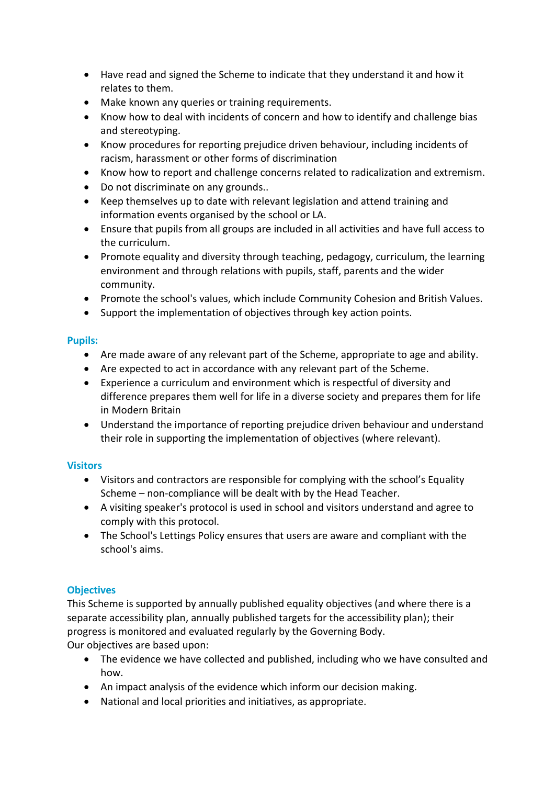- Have read and signed the Scheme to indicate that they understand it and how it relates to them.
- Make known any queries or training requirements.
- Know how to deal with incidents of concern and how to identify and challenge bias and stereotyping.
- Know procedures for reporting prejudice driven behaviour, including incidents of racism, harassment or other forms of discrimination
- Know how to report and challenge concerns related to radicalization and extremism.
- Do not discriminate on any grounds..
- Keep themselves up to date with relevant legislation and attend training and information events organised by the school or LA.
- Ensure that pupils from all groups are included in all activities and have full access to the curriculum.
- Promote equality and diversity through teaching, pedagogy, curriculum, the learning environment and through relations with pupils, staff, parents and the wider community.
- Promote the school's values, which include Community Cohesion and British Values.
- Support the implementation of objectives through key action points.

## **Pupils:**

- Are made aware of any relevant part of the Scheme, appropriate to age and ability.
- Are expected to act in accordance with any relevant part of the Scheme.
- Experience a curriculum and environment which is respectful of diversity and difference prepares them well for life in a diverse society and prepares them for life in Modern Britain
- Understand the importance of reporting prejudice driven behaviour and understand their role in supporting the implementation of objectives (where relevant).

## **Visitors**

- Visitors and contractors are responsible for complying with the school's Equality Scheme – non-compliance will be dealt with by the Head Teacher.
- A visiting speaker's protocol is used in school and visitors understand and agree to comply with this protocol.
- The School's Lettings Policy ensures that users are aware and compliant with the school's aims.

## **Objectives**

This Scheme is supported by annually published equality objectives (and where there is a separate accessibility plan, annually published targets for the accessibility plan); their progress is monitored and evaluated regularly by the Governing Body. Our objectives are based upon:

- The evidence we have collected and published, including who we have consulted and how.
- An impact analysis of the evidence which inform our decision making.
- National and local priorities and initiatives, as appropriate.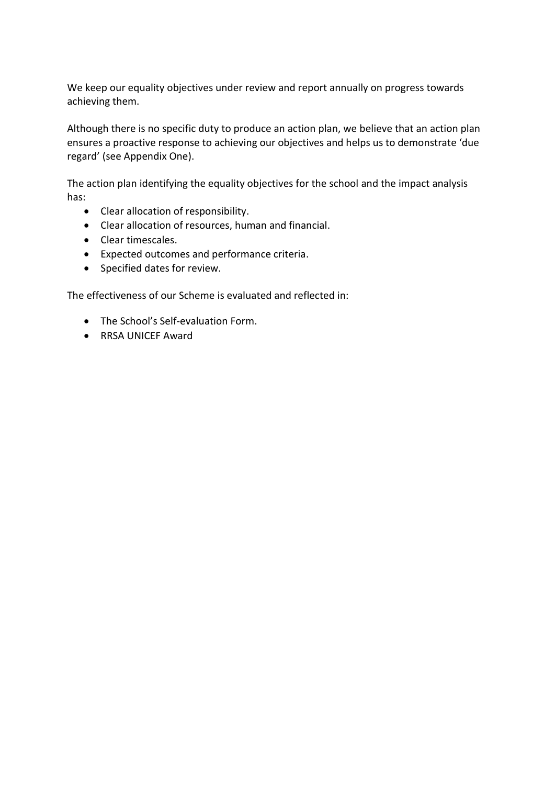We keep our equality objectives under review and report annually on progress towards achieving them.

Although there is no specific duty to produce an action plan, we believe that an action plan ensures a proactive response to achieving our objectives and helps us to demonstrate 'due regard' (see Appendix One).

The action plan identifying the equality objectives for the school and the impact analysis has:

- Clear allocation of responsibility.
- Clear allocation of resources, human and financial.
- Clear timescales.
- Expected outcomes and performance criteria.
- Specified dates for review.

The effectiveness of our Scheme is evaluated and reflected in:

- The School's Self-evaluation Form.
- RRSA UNICEF Award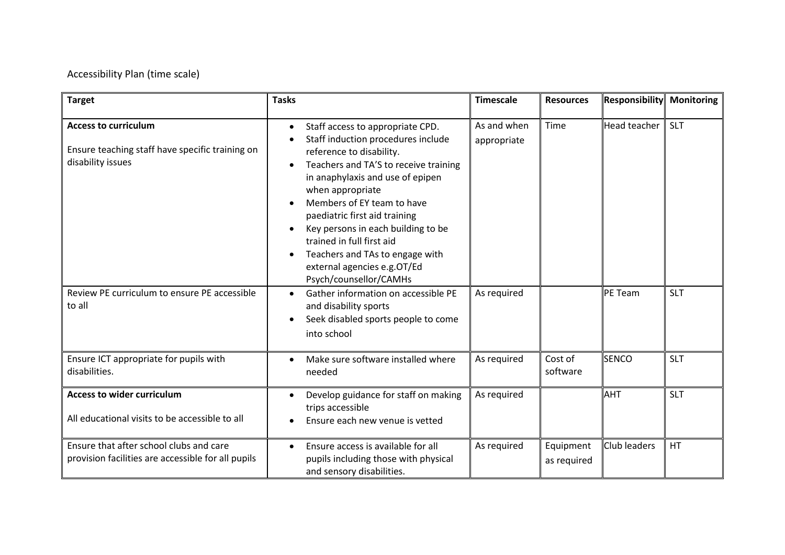## Accessibility Plan (time scale)

| <b>Target</b>                                                                                       | <b>Tasks</b>                                                                                                                                                                                                                                                                                                                                                                                                                                                | <b>Timescale</b>           | <b>Resources</b>         | <b>Responsibility</b> | <b>Monitoring</b> |
|-----------------------------------------------------------------------------------------------------|-------------------------------------------------------------------------------------------------------------------------------------------------------------------------------------------------------------------------------------------------------------------------------------------------------------------------------------------------------------------------------------------------------------------------------------------------------------|----------------------------|--------------------------|-----------------------|-------------------|
| <b>Access to curriculum</b><br>Ensure teaching staff have specific training on<br>disability issues | Staff access to appropriate CPD.<br>$\bullet$<br>Staff induction procedures include<br>reference to disability.<br>Teachers and TA'S to receive training<br>in anaphylaxis and use of epipen<br>when appropriate<br>Members of EY team to have<br>paediatric first aid training<br>Key persons in each building to be<br>trained in full first aid<br>Teachers and TAs to engage with<br>$\bullet$<br>external agencies e.g.OT/Ed<br>Psych/counsellor/CAMHs | As and when<br>appropriate | Time                     | Head teacher          | <b>SLT</b>        |
| Review PE curriculum to ensure PE accessible<br>to all                                              | Gather information on accessible PE<br>and disability sports<br>Seek disabled sports people to come<br>into school                                                                                                                                                                                                                                                                                                                                          | As required                |                          | <b>PE Team</b>        | <b>SLT</b>        |
| Ensure ICT appropriate for pupils with<br>disabilities.                                             | Make sure software installed where<br>$\bullet$<br>needed                                                                                                                                                                                                                                                                                                                                                                                                   | As required                | Cost of<br>software      | <b>SENCO</b>          | <b>SLT</b>        |
| <b>Access to wider curriculum</b><br>All educational visits to be accessible to all                 | Develop guidance for staff on making<br>trips accessible<br>Ensure each new venue is vetted                                                                                                                                                                                                                                                                                                                                                                 | As required                |                          | AHT                   | <b>SLT</b>        |
| Ensure that after school clubs and care<br>provision facilities are accessible for all pupils       | Ensure access is available for all<br>$\bullet$<br>pupils including those with physical<br>and sensory disabilities.                                                                                                                                                                                                                                                                                                                                        | As required                | Equipment<br>as required | Club leaders          | HT                |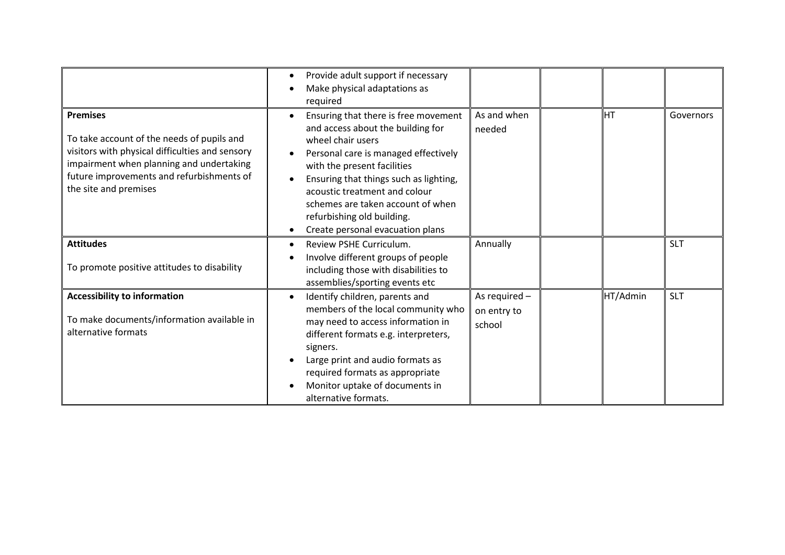|                                                                                                                                                                                                                                    | Provide adult support if necessary<br>Make physical adaptations as<br>required                                                                                                                                                                                                                                                                                       |                                        |          |            |
|------------------------------------------------------------------------------------------------------------------------------------------------------------------------------------------------------------------------------------|----------------------------------------------------------------------------------------------------------------------------------------------------------------------------------------------------------------------------------------------------------------------------------------------------------------------------------------------------------------------|----------------------------------------|----------|------------|
| <b>Premises</b><br>To take account of the needs of pupils and<br>visitors with physical difficulties and sensory<br>impairment when planning and undertaking<br>future improvements and refurbishments of<br>the site and premises | Ensuring that there is free movement<br>$\bullet$<br>and access about the building for<br>wheel chair users<br>Personal care is managed effectively<br>with the present facilities<br>Ensuring that things such as lighting,<br>acoustic treatment and colour<br>schemes are taken account of when<br>refurbishing old building.<br>Create personal evacuation plans | As and when<br>needed                  | IHT      | Governors  |
| <b>Attitudes</b><br>To promote positive attitudes to disability                                                                                                                                                                    | Review PSHE Curriculum.<br>$\bullet$<br>Involve different groups of people<br>including those with disabilities to<br>assemblies/sporting events etc                                                                                                                                                                                                                 | Annually                               |          | <b>SLT</b> |
| <b>Accessibility to information</b><br>To make documents/information available in<br>alternative formats                                                                                                                           | Identify children, parents and<br>members of the local community who<br>may need to access information in<br>different formats e.g. interpreters,<br>signers.<br>Large print and audio formats as<br>required formats as appropriate<br>Monitor uptake of documents in<br>alternative formats.                                                                       | As required -<br>on entry to<br>school | HT/Admin | <b>SLT</b> |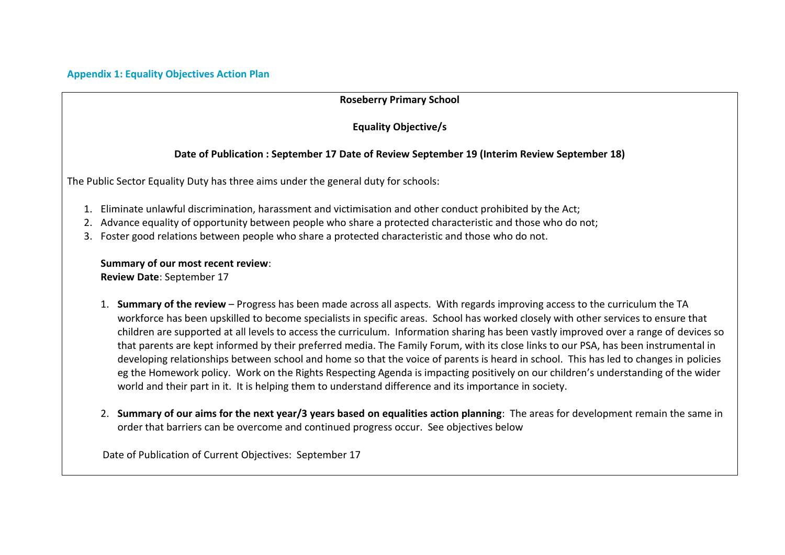## **Roseberry Primary School**

**Equality Objective/s**

## **Date of Publication : September 17 Date of Review September 19 (Interim Review September 18)**

The Public Sector Equality Duty has three aims under the general duty for schools:

- 1. Eliminate unlawful discrimination, harassment and victimisation and other conduct prohibited by the Act;
- 2. Advance equality of opportunity between people who share a protected characteristic and those who do not;
- 3. Foster good relations between people who share a protected characteristic and those who do not.

#### **Summary of our most recent review**:

**Review Date**: September 17

- 1. **Summary of the review** Progress has been made across all aspects. With regards improving access to the curriculum the TA workforce has been upskilled to become specialists in specific areas. School has worked closely with other services to ensure that children are supported at all levels to access the curriculum. Information sharing has been vastly improved over a range of devices so that parents are kept informed by their preferred media. The Family Forum, with its close links to our PSA, has been instrumental in developing relationships between school and home so that the voice of parents is heard in school. This has led to changes in policies eg the Homework policy. Work on the Rights Respecting Agenda is impacting positively on our children's understanding of the wider world and their part in it. It is helping them to understand difference and its importance in society.
- 2. **Summary of our aims for the next year/3 years based on equalities action planning**: The areas for development remain the same in order that barriers can be overcome and continued progress occur. See objectives below

Date of Publication of Current Objectives: September 17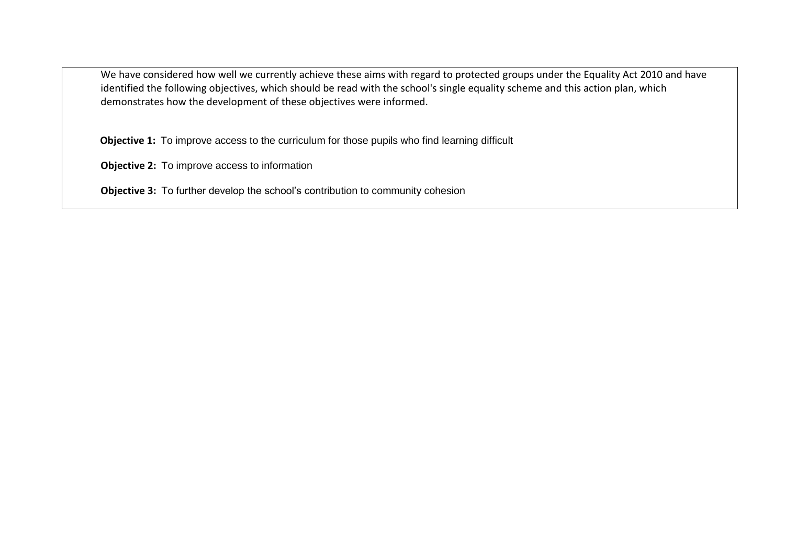We have considered how well we currently achieve these aims with regard to protected groups under the Equality Act 2010 and have identified the following objectives, which should be read with the school's single equality scheme and this action plan, which demonstrates how the development of these objectives were informed.

**Objective 1:** To improve access to the curriculum for those pupils who find learning difficult

**Objective 2:** To improve access to information

**Objective 3:** To further develop the school's contribution to community cohesion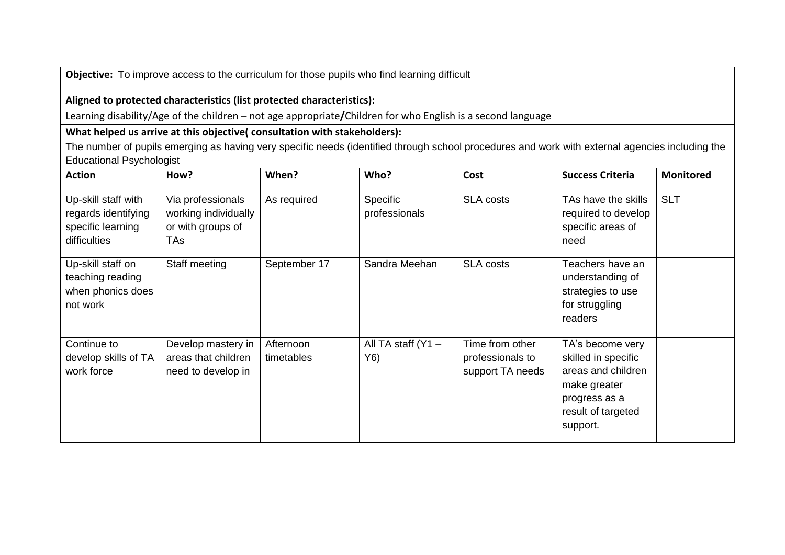**Objective:** To improve access to the curriculum for those pupils who find learning difficult

## **Aligned to protected characteristics (list protected characteristics):**

Learning disability/Age of the children – not age appropriate**/**Children for who English is a second language

## **What helped us arrive at this objective( consultation with stakeholders):**

The number of pupils emerging as having very specific needs (identified through school procedures and work with external agencies including the Educational Psychologist

| <b>Action</b>                                                                   | How?                                                                  | When?                   | Who?                        | Cost                                                    | <b>Success Criteria</b>                                                                                                          | <b>Monitored</b> |
|---------------------------------------------------------------------------------|-----------------------------------------------------------------------|-------------------------|-----------------------------|---------------------------------------------------------|----------------------------------------------------------------------------------------------------------------------------------|------------------|
| Up-skill staff with<br>regards identifying<br>specific learning<br>difficulties | Via professionals<br>working individually<br>or with groups of<br>TAs | As required             | Specific<br>professionals   | <b>SLA costs</b>                                        | TAs have the skills<br>required to develop<br>specific areas of<br>need                                                          | <b>SLT</b>       |
| Up-skill staff on<br>teaching reading<br>when phonics does<br>not work          | Staff meeting                                                         | September 17            | Sandra Meehan               | <b>SLA costs</b>                                        | Teachers have an<br>understanding of<br>strategies to use<br>for struggling<br>readers                                           |                  |
| Continue to<br>develop skills of TA<br>work force                               | Develop mastery in<br>areas that children<br>need to develop in       | Afternoon<br>timetables | All TA staff $(Y1 -$<br>Y6) | Time from other<br>professionals to<br>support TA needs | TA's become very<br>skilled in specific<br>areas and children<br>make greater<br>progress as a<br>result of targeted<br>support. |                  |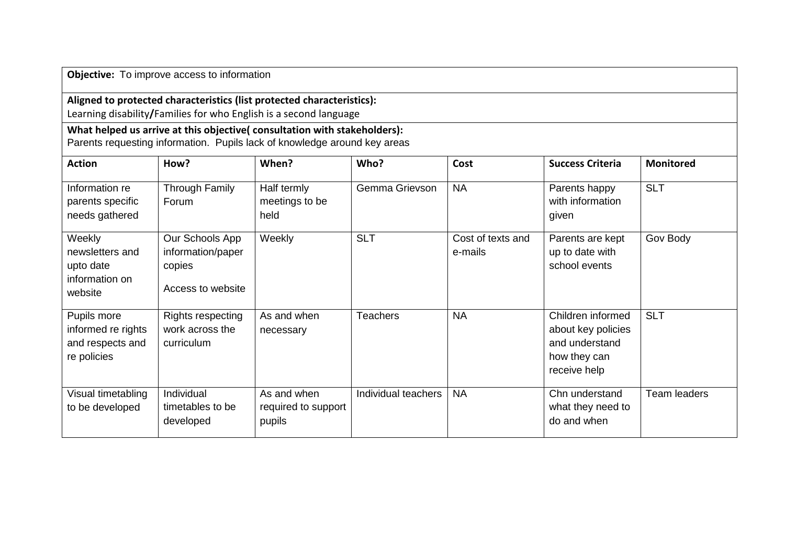**Objective:** To improve access to information

## **Aligned to protected characteristics (list protected characteristics):**

Learning disability**/**Families for who English is a second language

## **What helped us arrive at this objective( consultation with stakeholders):**

Parents requesting information. Pupils lack of knowledge around key areas

| <b>Action</b>                                                        | How?                                                                | When?                                        | Who?                | Cost                         | <b>Success Criteria</b>                                                                   | <b>Monitored</b> |
|----------------------------------------------------------------------|---------------------------------------------------------------------|----------------------------------------------|---------------------|------------------------------|-------------------------------------------------------------------------------------------|------------------|
| Information re<br>parents specific<br>needs gathered                 | Through Family<br>Forum                                             | Half termly<br>meetings to be<br>held        | Gemma Grievson      | <b>NA</b>                    | Parents happy<br>with information<br>given                                                | <b>SLT</b>       |
| Weekly<br>newsletters and<br>upto date<br>information on<br>website  | Our Schools App<br>information/paper<br>copies<br>Access to website | Weekly                                       | <b>SLT</b>          | Cost of texts and<br>e-mails | Parents are kept<br>up to date with<br>school events                                      | Gov Body         |
| Pupils more<br>informed re rights<br>and respects and<br>re policies | Rights respecting<br>work across the<br>curriculum                  | As and when<br>necessary                     | <b>Teachers</b>     | <b>NA</b>                    | Children informed<br>about key policies<br>and understand<br>how they can<br>receive help | <b>SLT</b>       |
| Visual timetabling<br>to be developed                                | Individual<br>timetables to be<br>developed                         | As and when<br>required to support<br>pupils | Individual teachers | <b>NA</b>                    | Chn understand<br>what they need to<br>do and when                                        | Team leaders     |